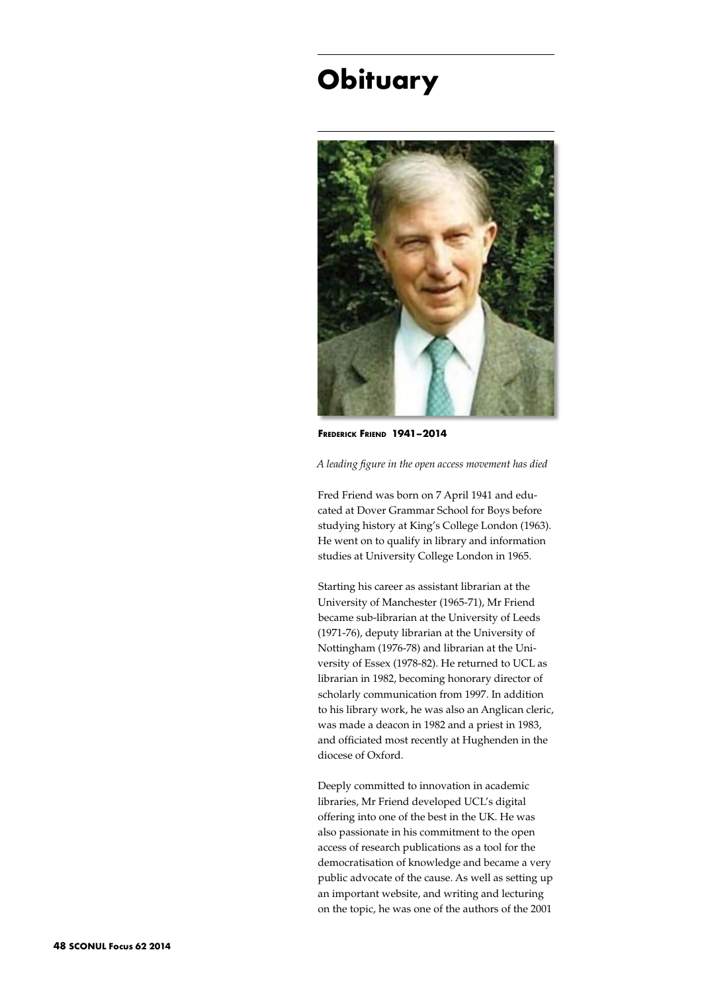## **Obituary**



**Frederick Friend 1941–2014**

*A leading figure in the open access movement has died*

Fred Friend was born on 7 April 1941 and educated at Dover Grammar School for Boys before studying history at King's College London (1963). He went on to qualify in library and information studies at University College London in 1965.

Starting his career as assistant librarian at the University of Manchester (1965-71), Mr Friend became sub-librarian at the University of Leeds (1971-76), deputy librarian at the University of Nottingham (1976-78) and librarian at the University of Essex (1978-82). He returned to UCL as librarian in 1982, becoming honorary director of scholarly communication from 1997. In addition to his library work, he was also an Anglican cleric, was made a deacon in 1982 and a priest in 1983, and officiated most recently at Hughenden in the diocese of Oxford.

Deeply committed to innovation in academic libraries, Mr Friend developed UCL's digital offering into one of the best in the UK. He was also passionate in his commitment to the open access of research publications as a tool for the democratisation of knowledge and became a very public advocate of the cause. As well as setting up an important website, and writing and lecturing on the topic, he was one of the authors of the 2001